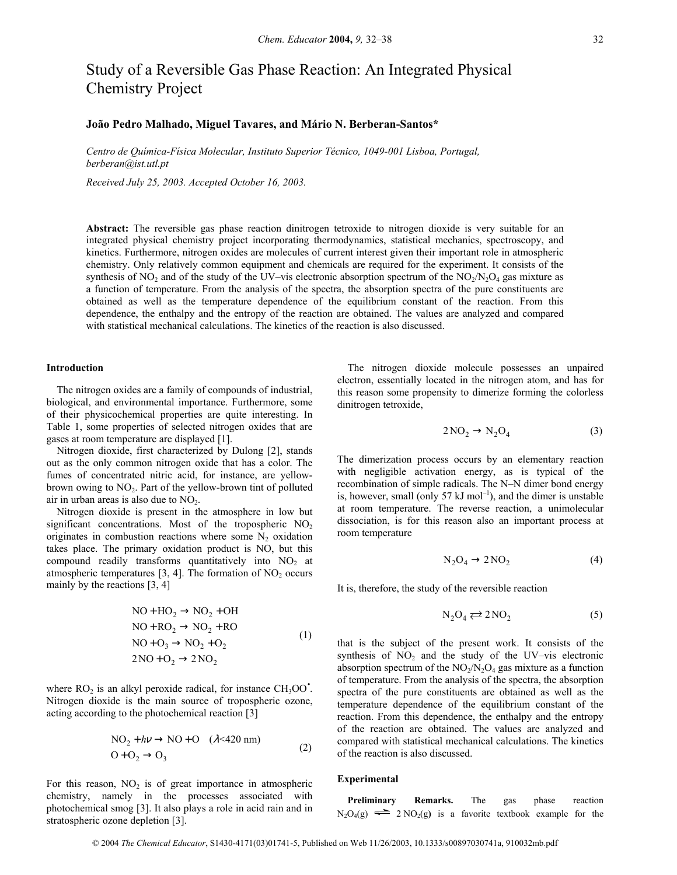# Study of a Reversible Gas Phase Reaction: An Integrated Physical Chemistry Project

## João Pedro Malhado, Miguel Tavares, and Mário N. Berberan-Santos\*

*Centro de QuÌmica-FÌsica Molecular, Instituto Superior TÈcnico, 1049-001 Lisboa, Portugal, berberan@ist.utl.pt* 

*Received July 25, 2003. Accepted October 16, 2003.* 

**Abstract:** The reversible gas phase reaction dinitrogen tetroxide to nitrogen dioxide is very suitable for an integrated physical chemistry project incorporating thermodynamics, statistical mechanics, spectroscopy, and kinetics. Furthermore, nitrogen oxides are molecules of current interest given their important role in atmospheric chemistry. Only relatively common equipment and chemicals are required for the experiment. It consists of the synthesis of NO<sub>2</sub> and of the study of the UV–vis electronic absorption spectrum of the NO<sub>2</sub>/N<sub>2</sub>O<sub>4</sub> gas mixture as a function of temperature. From the analysis of the spectra, the absorption spectra of the pure constituents are obtained as well as the temperature dependence of the equilibrium constant of the reaction. From this dependence, the enthalpy and the entropy of the reaction are obtained. The values are analyzed and compared with statistical mechanical calculations. The kinetics of the reaction is also discussed.

### **Introduction**

The nitrogen oxides are a family of compounds of industrial, biological, and environmental importance. Furthermore, some of their physicochemical properties are quite interesting. In Table 1, some properties of selected nitrogen oxides that are gases at room temperature are displayed [1].

Nitrogen dioxide, first characterized by Dulong [2], stands out as the only common nitrogen oxide that has a color. The fumes of concentrated nitric acid, for instance, are yellowbrown owing to  $NO<sub>2</sub>$ . Part of the yellow-brown tint of polluted air in urban areas is also due to  $NO<sub>2</sub>$ .

Nitrogen dioxide is present in the atmosphere in low but significant concentrations. Most of the tropospheric  $NO<sub>2</sub>$ originates in combustion reactions where some  $N_2$  oxidation takes place. The primary oxidation product is NO, but this compound readily transforms quantitatively into  $NO<sub>2</sub>$  at atmospheric temperatures  $[3, 4]$ . The formation of  $NO<sub>2</sub>$  occurs mainly by the reactions [3, 4]

$$
NO + HO2 \rightarrow NO2 + OH
$$
  
\n
$$
NO + RO2 \rightarrow NO2 + RO
$$
  
\n
$$
NO + O3 \rightarrow NO2 + O2
$$
  
\n
$$
2 NO + O2 \rightarrow 2 NO2
$$
\n(1)

where  $RO<sub>2</sub>$  is an alkyl peroxide radical, for instance  $CH<sub>3</sub>OO<sup>•</sup>$ . Nitrogen dioxide is the main source of tropospheric ozone, acting according to the photochemical reaction [3]

$$
NO2 + h\nu \rightarrow NO + O \quad (\lambda < 420 \text{ nm})
$$
  
 
$$
O + O2 \rightarrow O3
$$
 (2)

For this reason, NO<sub>2</sub> is of great importance in atmospheric **Experimental** chemistry, namely in the processes associated with photochemical smog [3]. It also plays a role in acid rain and in stratospheric ozone depletion [3].

The nitrogen dioxide molecule possesses an unpaired electron, essentially located in the nitrogen atom, and has for this reason some propensity to dimerize forming the colorless dinitrogen tetroxide,

$$
2\text{NO}_2 \to \text{N}_2\text{O}_4\tag{3}
$$

The dimerization process occurs by an elementary reaction with negligible activation energy, as is typical of the recombination of simple radicals. The N-N dimer bond energy is, however, small (only 57  $kJ$  mol<sup>-1</sup>), and the dimer is unstable at room temperature. The reverse reaction, a unimolecular dissociation, is for this reason also an important process at room temperature

$$
N_2O_4 \to 2NO_2 \tag{4}
$$

It is, therefore, the study of the reversible reaction

$$
N_2O_4 \rightleftarrows 2NO_2 \tag{5}
$$

that is the subject of the present work. It consists of the synthesis of  $NO<sub>2</sub>$  and the study of the UV-vis electronic absorption spectrum of the  $NO<sub>2</sub>/N<sub>2</sub>O<sub>4</sub>$  gas mixture as a function of temperature. From the analysis of the spectra, the absorption spectra of the pure constituents are obtained as well as the temperature dependence of the equilibrium constant of the reaction. From this dependence, the enthalpy and the entropy of the reaction are obtained. The values are analyzed and compared with statistical mechanical calculations. The kinetics of the reaction is also discussed.

**Preliminary Remarks.** The gas phase reaction  $N_2O_4(g) \rightleftharpoons 2 NO_2(g)$  is a favorite textbook example for the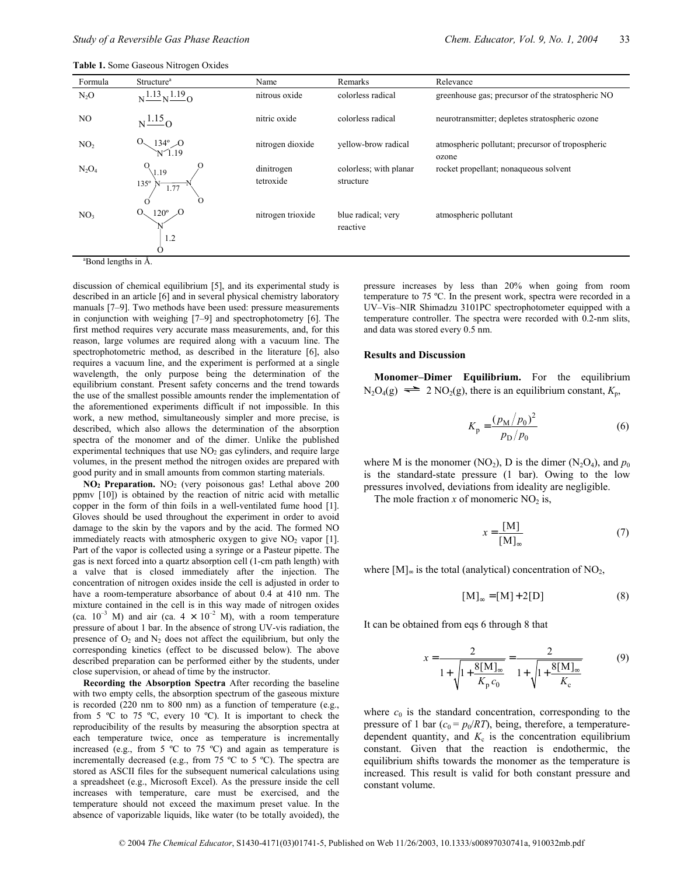| <b>Table 1.</b> Some Gaseous Nitrogen Oxides |  |  |  |  |
|----------------------------------------------|--|--|--|--|
|----------------------------------------------|--|--|--|--|

| Formula                         | Structure <sup>a</sup>                       | Name                    | Remarks                             | Relevance                                                 |
|---------------------------------|----------------------------------------------|-------------------------|-------------------------------------|-----------------------------------------------------------|
| $N_2O$                          | $N\frac{1.13}{N}N\frac{1.19}{N}O$            | nitrous oxide           | colorless radical                   | greenhouse gas; precursor of the stratospheric NO         |
| NO.                             | $N\frac{1.15}{1.0}$                          | nitric oxide            | colorless radical                   | neurotransmitter; depletes stratospheric ozone            |
| NO <sub>2</sub>                 | $\frac{134^{\circ}}{N \cdot 1.19}$           | nitrogen dioxide        | yellow-brow radical                 | atmospheric pollutant; precursor of tropospheric<br>ozone |
| $N_2O_4$                        | 1.19<br>$135^\circ$<br>1.77<br>O<br>$\Omega$ | dinitrogen<br>tetroxide | colorless; with planar<br>structure | rocket propellant; nonaqueous solvent                     |
| NO <sub>3</sub>                 | O.<br>$120^\circ$<br>Ω<br>1.2                | nitrogen trioxide       | blue radical; very<br>reactive      | atmospheric pollutant                                     |
| <sup>a</sup> Bond lengths in Å. |                                              |                         |                                     |                                                           |

discussion of chemical equilibrium [5], and its experimental study is described in an article [6] and in several physical chemistry laboratory manuals [7-9]. Two methods have been used: pressure measurements in conjunction with weighing  $[7-9]$  and spectrophotometry  $[6]$ . The first method requires very accurate mass measurements, and, for this reason, large volumes are required along with a vacuum line. The spectrophotometric method, as described in the literature [6], also requires a vacuum line, and the experiment is performed at a single wavelength, the only purpose being the determination of the equilibrium constant. Present safety concerns and the trend towards the use of the smallest possible amounts render the implementation of the aforementioned experiments difficult if not impossible. In this work, a new method, simultaneously simpler and more precise, is described, which also allows the determination of the absorption spectra of the monomer and of the dimer. Unlike the published experimental techniques that use  $NO<sub>2</sub>$  gas cylinders, and require large volumes, in the present method the nitrogen oxides are prepared with good purity and in small amounts from common starting materials.

**NO2 Preparation.** NO2 (very poisonous gas! Lethal above 200 ppmv [10]) is obtained by the reaction of nitric acid with metallic copper in the form of thin foils in a well-ventilated fume hood [1]. Gloves should be used throughout the experiment in order to avoid damage to the skin by the vapors and by the acid. The formed NO immediately reacts with atmospheric oxygen to give  $NO<sub>2</sub>$  vapor [1]. Part of the vapor is collected using a syringe or a Pasteur pipette. The gas is next forced into a quartz absorption cell (1-cm path length) with a valve that is closed immediately after the injection. The concentration of nitrogen oxides inside the cell is adjusted in order to have a room-temperature absorbance of about 0.4 at 410 nm. The mixture contained in the cell is in this way made of nitrogen oxides (ca.  $10^{-3}$  M) and air (ca.  $4 \times 10^{-2}$  M), with a room temperature pressure of about 1 bar. In the absence of strong UV-vis radiation, the presence of  $O_2$  and  $N_2$  does not affect the equilibrium, but only the corresponding kinetics (effect to be discussed below). The above described preparation can be performed either by the students, under close supervision, or ahead of time by the instructor.

**Recording the Absorption Spectra** After recording the baseline with two empty cells, the absorption spectrum of the gaseous mixture is recorded (220 nm to 800 nm) as a function of temperature (e.g., from 5 ºC to 75 ºC, every 10 ºC). It is important to check the reproducibility of the results by measuring the absorption spectra at each temperature twice, once as temperature is incrementally increased (e.g., from 5  $\degree$ C to 75  $\degree$ C) and again as temperature is incrementally decreased (e.g., from 75 ºC to 5 ºC). The spectra are stored as ASCII files for the subsequent numerical calculations using a spreadsheet (e.g., Microsoft Excel). As the pressure inside the cell increases with temperature, care must be exercised, and the temperature should not exceed the maximum preset value. In the absence of vaporizable liquids, like water (to be totally avoided), the

pressure increases by less than 20% when going from room temperature to 75 ºC. In the present work, spectra were recorded in a UV-Vis-NIR Shimadzu 3101PC spectrophotometer equipped with a temperature controller. The spectra were recorded with 0.2-nm slits, and data was stored every 0.5 nm.

### **Results and Discussion**

Monomer-Dimer Equilibrium. For the equilibrium  $N_2O_4(g) \rightleftharpoons 2 NO_2(g)$ , there is an equilibrium constant,  $K_p$ ,

$$
K_{\rm p} = \frac{(p_{\rm M}/p_0)^2}{p_{\rm D}/p_0} \tag{6}
$$

where M is the monomer (NO<sub>2</sub>), D is the dimer (N<sub>2</sub>O<sub>4</sub>), and  $p_0$ is the standard-state pressure (1 bar). Owing to the low pressures involved, deviations from ideality are negligible.

The mole fraction  $x$  of monomeric  $NO<sub>2</sub>$  is,

$$
x = \frac{[M]}{[M]_{\infty}}
$$
 (7)

where  $[M]_{\infty}$  is the total (analytical) concentration of NO<sub>2</sub>,

$$
[\mathbf{M}]_{\infty} = [\mathbf{M}] + 2[\mathbf{D}] \tag{8}
$$

It can be obtained from eqs 6 through 8 that

$$
x = \frac{2}{1 + \sqrt{1 + \frac{8[M]_{\infty}}{K_{p} c_{0}}}} = \frac{2}{1 + \sqrt{1 + \frac{8[M]_{\infty}}{K_{c}}}}
$$
(9)

where  $c_0$  is the standard concentration, corresponding to the pressure of 1 bar  $(c_0 = p_0/RT)$ , being, therefore, a temperaturedependent quantity, and  $K_c$  is the concentration equilibrium constant. Given that the reaction is endothermic, the equilibrium shifts towards the monomer as the temperature is increased. This result is valid for both constant pressure and constant volume.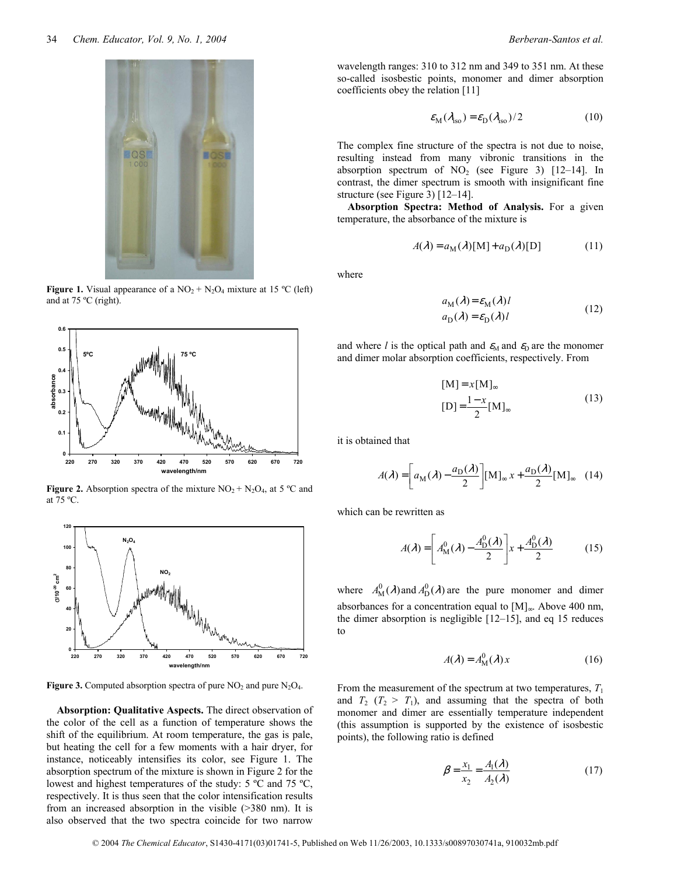

**Figure 1.** Visual appearance of a  $NO_2 + N_2O_4$  mixture at 15 °C (left) and at 75 ºC (right).



**Figure 2.** Absorption spectra of the mixture  $NO_2 + N_2O_4$ , at 5 °C and at 75 ºC.



**Figure 3.** Computed absorption spectra of pure NO<sub>2</sub> and pure N<sub>2</sub>O<sub>4</sub>.

**Absorption: Qualitative Aspects.** The direct observation of the color of the cell as a function of temperature shows the shift of the equilibrium. At room temperature, the gas is pale, but heating the cell for a few moments with a hair dryer, for instance, noticeably intensifies its color, see Figure 1. The absorption spectrum of the mixture is shown in Figure 2 for the lowest and highest temperatures of the study: 5 ºC and 75 ºC, respectively. It is thus seen that the color intensification results from an increased absorption in the visible (>380 nm). It is also observed that the two spectra coincide for two narrow wavelength ranges: 310 to 312 nm and 349 to 351 nm. At these so-called isosbestic points, monomer and dimer absorption coefficients obey the relation [11]

$$
\varepsilon_{\rm M}(\lambda_{\rm iso}) = \varepsilon_{\rm D}(\lambda_{\rm iso})/2 \tag{10}
$$

The complex fine structure of the spectra is not due to noise, resulting instead from many vibronic transitions in the absorption spectrum of  $NO<sub>2</sub>$  (see Figure 3) [12-14]. In contrast, the dimer spectrum is smooth with insignificant fine structure (see Figure 3)  $[12-14]$ .

**Absorption Spectra: Method of Analysis.** For a given temperature, the absorbance of the mixture is

$$
A(\lambda) = a_{\mathcal{M}}(\lambda)[\mathcal{M}] + a_{\mathcal{D}}(\lambda)[\mathcal{D}] \tag{11}
$$

where

$$
a_{\rm M}(\lambda) = \varepsilon_{\rm M}(\lambda)l
$$
  
\n
$$
a_{\rm D}(\lambda) = \varepsilon_{\rm D}(\lambda)l
$$
\n(12)

and where *l* is the optical path and  $\varepsilon_M$  and  $\varepsilon_D$  are the monomer and dimer molar absorption coefficients, respectively. From

$$
[M] = x[M]_{\infty}
$$
  
\n
$$
[D] = \frac{1 - x}{2} [M]_{\infty}
$$
\n(13)

it is obtained that

$$
A(\lambda) = \left[ a_{\mathbf{M}}(\lambda) - \frac{a_{\mathbf{D}}(\lambda)}{2} \right] [\mathbf{M}]_{\infty} x + \frac{a_{\mathbf{D}}(\lambda)}{2} [\mathbf{M}]_{\infty} \quad (14)
$$

which can be rewritten as

$$
A(\lambda) = \left[ A_{\mathcal{M}}^{0}(\lambda) - \frac{A_{\mathcal{D}}^{0}(\lambda)}{2} \right] x + \frac{A_{\mathcal{D}}^{0}(\lambda)}{2} \tag{15}
$$

where  $A_{\text{M}}^0(\lambda)$  and  $A_{\text{D}}^0(\lambda)$  are the pure monomer and dimer absorbances for a concentration equal to [M] <sup>∞</sup>. Above 400 nm, the dimer absorption is negligible  $[12–15]$ , and eq 15 reduces to

$$
A(\lambda) = A_{\mathbf{M}}^0(\lambda) x \tag{16}
$$

From the measurement of the spectrum at two temperatures,  $T_1$ and  $T_2$  ( $T_2 > T_1$ ), and assuming that the spectra of both monomer and dimer are essentially temperature independent (this assumption is supported by the existence of isosbestic points), the following ratio is defined

$$
\beta = \frac{x_1}{x_2} = \frac{A_1(\lambda)}{A_2(\lambda)}\tag{17}
$$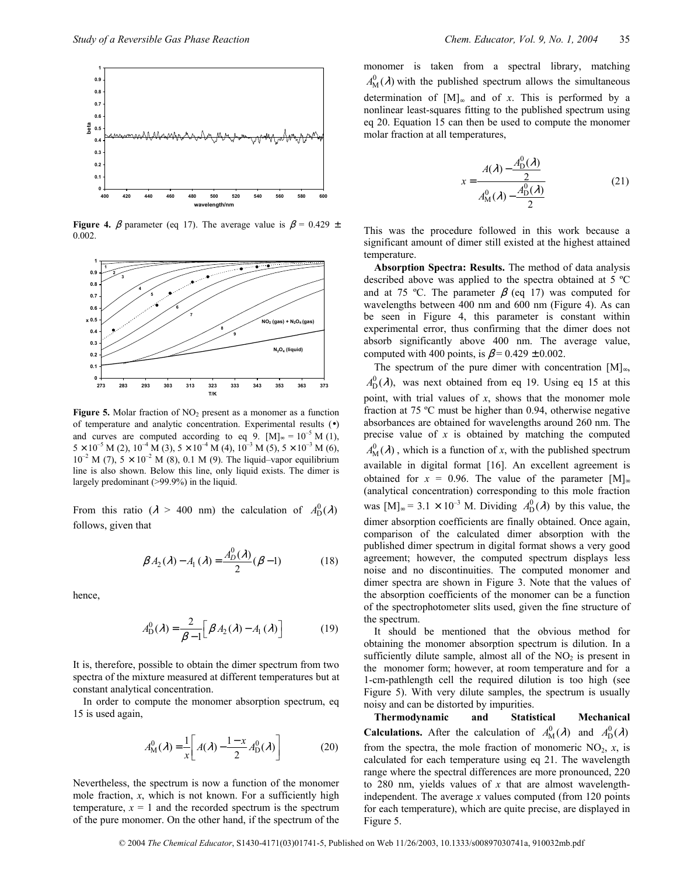

**Figure 4.**  $\beta$  parameter (eq 17). The average value is  $\beta = 0.429 \pm 1.5$ 0.002.



Figure 5. Molar fraction of NO<sub>2</sub> present as a monomer as a function of temperature and analytic concentration. Experimental results (•) and curves are computed according to eq 9. [M]<sub>∞</sub> =  $10^{-5}$  M (1),  $5 \times 10^{-5}$  M (2),  $10^{-4}$  M (3),  $5 \times 10^{-4}$  M (4),  $10^{-3}$  M (5),  $5 \times 10^{-3}$  M (6),  $10^{-2}$  M (7),  $5 \times 10^{-2}$  M (8), 0.1 M (9). The liquid–vapor equilibrium line is also shown. Below this line, only liquid exists. The dimer is largely predominant (>99.9%) in the liquid.

From this ratio ( $\lambda > 400$  nm) the calculation of  $A_{D}^{0}(\lambda)$ follows, given that

$$
\beta A_2(\lambda) - A_1(\lambda) = \frac{A_D^0(\lambda)}{2} (\beta - 1)
$$
 (18)

hence,

$$
A_{\mathcal{D}}^{0}(\lambda) = \frac{2}{\beta - 1} \Big[ \beta A_{2}(\lambda) - A_{1}(\lambda) \Big] \tag{19}
$$

It is, therefore, possible to obtain the dimer spectrum from two spectra of the mixture measured at different temperatures but at constant analytical concentration.

In order to compute the monomer absorption spectrum, eq 15 is used again,

$$
A_M^0(\lambda) = \frac{1}{x} \left[ A(\lambda) - \frac{1-x}{2} A_D^0(\lambda) \right]
$$
 (20)

Nevertheless, the spectrum is now a function of the monomer mole fraction, *x*, which is not known. For a sufficiently high temperature,  $x = 1$  and the recorded spectrum is the spectrum of the pure monomer. On the other hand, if the spectrum of the monomer is taken from a spectral library, matching  $A_{\text{M}}^{0}(\lambda)$  with the published spectrum allows the simultaneous determination of [M] <sup>∞</sup> and of *x*. This is performed by a nonlinear least-squares fitting to the published spectrum using eq 20. Equation 15 can then be used to compute the monomer molar fraction at all temperatures,

$$
x = \frac{A(\lambda) - \frac{A_{D}^{0}(\lambda)}{2}}{A_{M}^{0}(\lambda) - \frac{A_{D}^{0}(\lambda)}{2}}
$$
(21)

This was the procedure followed in this work because a significant amount of dimer still existed at the highest attained temperature.

**Absorption Spectra: Results.** The method of data analysis described above was applied to the spectra obtained at 5 ºC and at 75 °C. The parameter  $\beta$  (eq 17) was computed for wavelengths between 400 nm and 600 nm (Figure 4). As can be seen in Figure 4, this parameter is constant within experimental error, thus confirming that the dimer does not absorb significantly above 400 nm. The average value, computed with 400 points, is  $\beta$  = 0.429 ± 0.002.

The spectrum of the pure dimer with concentration  $[M]_{\infty}$ ,  $A_{\text{D}}^{0}(\lambda)$ , was next obtained from eq 19. Using eq 15 at this point, with trial values of *x*, shows that the monomer mole fraction at 75 ºC must be higher than 0.94, otherwise negative absorbances are obtained for wavelengths around 260 nm. The precise value of *x* is obtained by matching the computed  $A_M^0(\lambda)$ , which is a function of *x*, with the published spectrum available in digital format [16]. An excellent agreement is obtained for  $x = 0.96$ . The value of the parameter [M]. (analytical concentration) corresponding to this mole fraction was  $[M]_{\infty} = 3.1 \times 10^{-3}$  M. Dividing  $A_D^0(\lambda)$  by this value, the dimer absorption coefficients are finally obtained. Once again, comparison of the calculated dimer absorption with the published dimer spectrum in digital format shows a very good agreement; however, the computed spectrum displays less noise and no discontinuities. The computed monomer and dimer spectra are shown in Figure 3. Note that the values of the absorption coefficients of the monomer can be a function of the spectrophotometer slits used, given the fine structure of the spectrum.

It should be mentioned that the obvious method for obtaining the monomer absorption spectrum is dilution. In a sufficiently dilute sample, almost all of the  $NO<sub>2</sub>$  is present in the monomer form; however, at room temperature and for a 1-cm-pathlength cell the required dilution is too high (see Figure 5). With very dilute samples, the spectrum is usually noisy and can be distorted by impurities.

**Thermodynamic and Statistical Mechanical Calculations.** After the calculation of  $A_M^0(\lambda)$  and  $A_D^0(\lambda)$ from the spectra, the mole fraction of monomeric  $NO_2$ ,  $x$ , is calculated for each temperature using eq 21. The wavelength range where the spectral differences are more pronounced, 220 to 280 nm, yields values of *x* that are almost wavelengthindependent. The average *x* values computed (from 120 points for each temperature), which are quite precise, are displayed in Figure 5.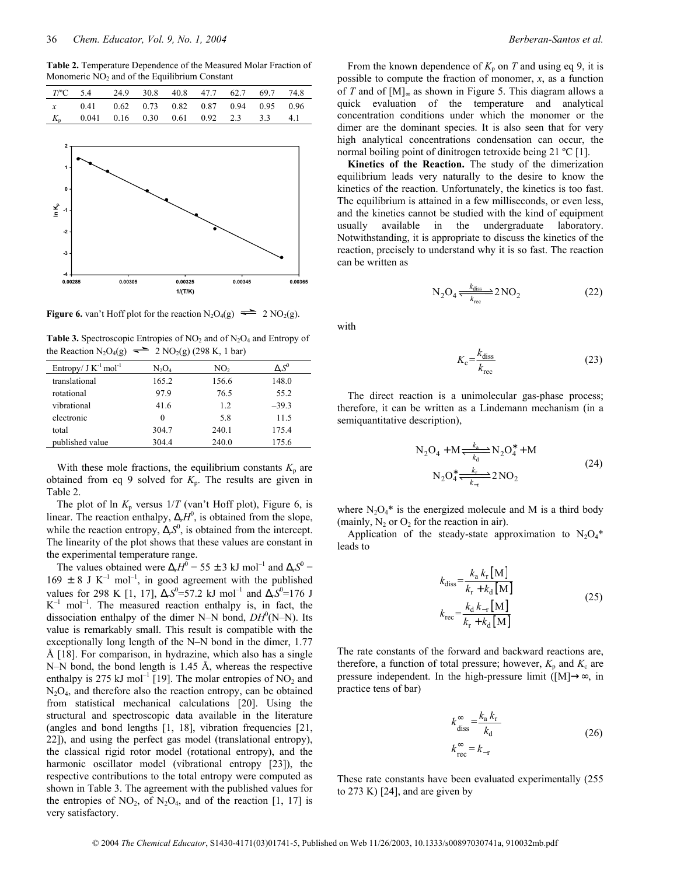**Table 2.** Temperature Dependence of the Measured Molar Fraction of Monomeric  $NO<sub>2</sub>$  and of the Equilibrium Constant

| T/°C 5.4 24.9 30.8 40.8 47.7 62.7 69.7 74.8 |  |  |  |  |
|---------------------------------------------|--|--|--|--|
| x 0.41 0.62 0.73 0.82 0.87 0.94 0.95 0.96   |  |  |  |  |
| $K_p$ 0.041 0.16 0.30 0.61 0.92 2.3 3.3 4.1 |  |  |  |  |



**Figure 6.** van't Hoff plot for the reaction  $N_2O_4(g) \rightleftharpoons 2 NO_2(g)$ .

Table 3. Spectroscopic Entropies of NO<sub>2</sub> and of N<sub>2</sub>O<sub>4</sub> and Entropy of the Reaction N<sub>2</sub>O<sub>4</sub>(g)  $\implies$  2 NO<sub>2</sub>(g) (298 K, 1 bar)

| Entropy/ $J K^{-1}$ mol <sup>-1</sup> | N2O4     | NO <sub>2</sub> | $\Delta_rS^0$ |
|---------------------------------------|----------|-----------------|---------------|
| translational                         | 165.2    | 156.6           | 148.0         |
| rotational                            | 97.9     | 76.5            | 55.2          |
| vibrational                           | 41.6     | 12              | $-39.3$       |
| electronic                            | $\Omega$ | 5.8             | 11.5          |
| total                                 | 304.7    | 240.1           | 175.4         |
| published value                       | 304.4    | 240.0           | 175.6         |

With these mole fractions, the equilibrium constants  $K_p$  are obtained from eq 9 solved for  $K_p$ . The results are given in Table 2.

The plot of ln  $K_p$  versus  $1/T$  (van't Hoff plot), Figure 6, is linear. The reaction enthalpy,  $\Delta_r H^0$ , is obtained from the slope, while the reaction entropy,  $\Delta_r S^0$ , is obtained from the intercept. The linearity of the plot shows that these values are constant in the experimental temperature range.

The values obtained were  $\Delta_r H^0 = 55 \pm 3 \text{ kJ} \text{ mol}^{-1}$  and  $\Delta_r S^0 =$  $169 \pm 8$  J K<sup>-1</sup> mol<sup>-1</sup>, in good agreement with the published values for 298 K [1, 17],  $\Delta_r S^0 = 57.2$  kJ mol<sup>-1</sup> and  $\Delta_r S^0 = 176$  J  $K^{-1}$  mol<sup>-1</sup>. The measured reaction enthalpy is, in fact, the dissociation enthalpy of the dimer N-N bond,  $DH^{0}(N-N)$ . Its value is remarkably small. This result is compatible with the exceptionally long length of the N–N bond in the dimer,  $1.77$ Å [18]. For comparison, in hydrazine, which also has a single N–N bond, the bond length is 1.45 Å, whereas the respective enthalpy is 275 kJ mol<sup>-1</sup> [19]. The molar entropies of  $\overline{NO}_2$  and  $N_2O_4$ , and therefore also the reaction entropy, can be obtained from statistical mechanical calculations [20]. Using the structural and spectroscopic data available in the literature (angles and bond lengths [1, 18], vibration frequencies [21, 22]), and using the perfect gas model (translational entropy), the classical rigid rotor model (rotational entropy), and the harmonic oscillator model (vibrational entropy [23]), the respective contributions to the total entropy were computed as shown in Table 3. The agreement with the published values for the entropies of  $NO_2$ , of  $N_2O_4$ , and of the reaction [1, 17] is very satisfactory.

From the known dependence of  $K_p$  on *T* and using eq 9, it is possible to compute the fraction of monomer, *x*, as a function of *T* and of [M]∞ as shown in Figure 5. This diagram allows a quick evaluation of the temperature and analytical concentration conditions under which the monomer or the dimer are the dominant species. It is also seen that for very high analytical concentrations condensation can occur, the normal boiling point of dinitrogen tetroxide being 21 °C [1].

**Kinetics of the Reaction.** The study of the dimerization equilibrium leads very naturally to the desire to know the kinetics of the reaction. Unfortunately, the kinetics is too fast. The equilibrium is attained in a few milliseconds, or even less, and the kinetics cannot be studied with the kind of equipment usually available in the undergraduate laboratory. Notwithstanding, it is appropriate to discuss the kinetics of the reaction, precisely to understand why it is so fast. The reaction can be written as

$$
N_2O_4 \xleftarrow[k_{diss}]{k_{diss}} 2\text{NO}_2 \tag{22}
$$

with

$$
K_{\rm c} = \frac{k_{\rm diss}}{k_{\rm rec}}\tag{23}
$$

The direct reaction is a unimolecular gas-phase process; therefore, it can be written as a Lindemann mechanism (in a semiquantitative description),

$$
N_2O_4 + M \frac{k_a}{k_d} N_2O_4^* + M
$$
  
\n
$$
N_2O_4^* \frac{k_r}{k_{-r}} 2 N O_2
$$
\n(24)

where  $N_2O_4^*$  is the energized molecule and M is a third body (mainly,  $N_2$  or  $O_2$  for the reaction in air).

Application of the steady-state approximation to  $N_2O_4*$ leads to

$$
k_{\text{diss}} = \frac{k_a k_r \,\mathrm{[M]}}{k_r + k_d \,\mathrm{[M]}}
$$
\n
$$
k_{\text{rec}} = \frac{k_d k_{-r} \,\mathrm{[M]}}{k_r + k_d \,\mathrm{[M]}}
$$
\n(25)

The rate constants of the forward and backward reactions are, therefore, a function of total pressure; however,  $K_p$  and  $K_c$  are pressure independent. In the high-pressure limit ( $[M] \rightarrow \infty$ , in practice tens of bar)

$$
k_{\text{diss}}^{\infty} = \frac{k_{\text{a}} k_{\text{r}}}{k_{\text{d}}}
$$
\n
$$
k_{\text{rec}}^{\infty} = k_{\text{r}}
$$
\n(26)

These rate constants have been evaluated experimentally (255 to 273 K) [24], and are given by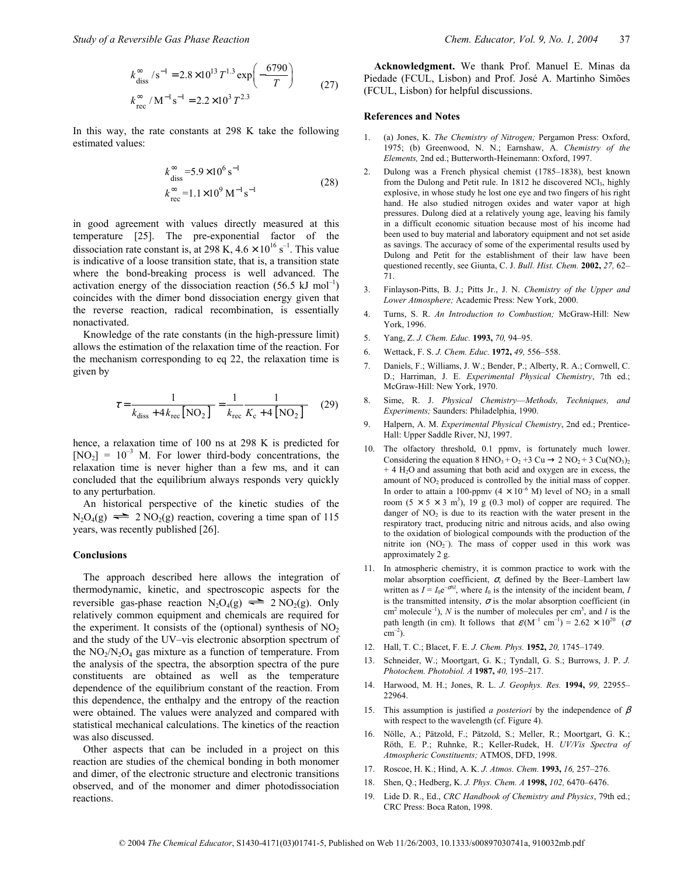$$
k_{\text{diss}}^{\infty} / \text{s}^{-1} = 2.8 \times 10^{13} T^{1.3} \exp\left(-\frac{6790}{T}\right)
$$
  

$$
k_{\text{rec}}^{\infty} / M^{-1} \text{s}^{-1} = 2.2 \times 10^{3} T^{2.3}
$$
 (27)

In this way, the rate constants at 298 K take the following estimated values:

$$
k_{\text{diss}}^{\infty} = 5.9 \times 10^6 \text{ s}^{-1}
$$
  
\n
$$
k_{\text{rec}}^{\infty} = 1.1 \times 10^9 \text{ M}^{-1} \text{ s}^{-1}
$$
\n(28)

in good agreement with values directly measured at this temperature [25]. The pre-exponential factor of the dissociation rate constant is, at 298 K,  $4.6 \times 10^{16}$  s<sup>-1</sup>. This value is indicative of a loose transition state, that is, a transition state where the bond-breaking process is well advanced. The activation energy of the dissociation reaction  $(56.5 \text{ kJ mol}^{-1})$ coincides with the dimer bond dissociation energy given that the reverse reaction, radical recombination, is essentially nonactivated.

Knowledge of the rate constants (in the high-pressure limit) allows the estimation of the relaxation time of the reaction. For the mechanism corresponding to eq 22, the relaxation time is given by

$$
\tau = \frac{1}{k_{\text{diss}} + 4k_{\text{rec}} \left[ \text{NO}_2 \right]} = \frac{1}{k_{\text{rec}}} \frac{1}{K_{\text{c}} + 4 \left[ \text{NO}_2 \right]} \tag{29}
$$

hence, a relaxation time of 100 ns at 298 K is predicted for  $[NO<sub>2</sub>] = 10<sup>-3</sup>$  M. For lower third-body concentrations, the relaxation time is never higher than a few ms, and it can concluded that the equilibrium always responds very quickly to any perturbation.

An historical perspective of the kinetic studies of the  $N_2O_4(g) \rightleftharpoons 2 NO_2(g)$  reaction, covering a time span of 115 years, was recently published [26].

### **Conclusions**

The approach described here allows the integration of thermodynamic, kinetic, and spectroscopic aspects for the reversible gas-phase reaction  $N_2O_4(g) \rightleftharpoons 2 NO_2(g)$ . Only relatively common equipment and chemicals are required for the experiment. It consists of the (optional) synthesis of  $NO<sub>2</sub>$ and the study of the UV-vis electronic absorption spectrum of the  $NO<sub>2</sub>/N<sub>2</sub>O<sub>4</sub>$  gas mixture as a function of temperature. From the analysis of the spectra, the absorption spectra of the pure constituents are obtained as well as the temperature dependence of the equilibrium constant of the reaction. From this dependence, the enthalpy and the entropy of the reaction were obtained. The values were analyzed and compared with statistical mechanical calculations. The kinetics of the reaction was also discussed.

Other aspects that can be included in a project on this reaction are studies of the chemical bonding in both monomer and dimer, of the electronic structure and electronic transitions observed, and of the monomer and dimer photodissociation reactions.

**Acknowledgment.** We thank Prof. Manuel E. Minas da Piedade (FCUL, Lisbon) and Prof. José A. Martinho Simões (FCUL, Lisbon) for helpful discussions.

### **References and Notes**

- 1. (a) Jones, K. *The Chemistry of Nitrogen;* Pergamon Press: Oxford, 1975; (b) Greenwood, N. N.; Earnshaw, A. *Chemistry of the Elements,* 2nd ed.; Butterworth-Heinemann: Oxford, 1997.
- 2. Dulong was a French physical chemist (1785–1838), best known from the Dulong and Petit rule. In 1812 he discovered NCl<sub>3</sub>, highly explosive, in whose study he lost one eye and two fingers of his right hand. He also studied nitrogen oxides and water vapor at high pressures. Dulong died at a relatively young age, leaving his family in a difficult economic situation because most of his income had been used to buy material and laboratory equipment and not set aside as savings. The accuracy of some of the experimental results used by Dulong and Petit for the establishment of their law have been questioned recently, see Giunta, C. J. *Bull. Hist. Chem.* 2002, 27, 62-71.
- 3. Finlayson-Pitts, B. J.; Pitts Jr., J. N. *Chemistry of the Upper and Lower Atmosphere;* Academic Press: New York, 2000.
- 4. Turns, S. R. *An Introduction to Combustion;* McGraw-Hill: New York, 1996.
- 5. Yang, Z. *J. Chem. Educ.* **1993,** 70, 94-95.
- 6. Wettack, F. S. *J. Chem. Educ.* 1972, 49, 556-558.
- 7. Daniels, F.; Williams, J. W.; Bender, P.; Alberty, R. A.; Cornwell, C. D.; Harriman, J. E. *Experimental Physical Chemistry*, 7th ed.; McGraw-Hill: New York, 1970.
- 8. Sime, R. J. *Physical Chemistry*—Methods, Techniques, and *Experiments;* Saunders: Philadelphia, 1990.
- 9. Halpern, A. M. *Experimental Physical Chemistry*, 2nd ed.; Prentice-Hall: Upper Saddle River, NJ, 1997.
- 10. The olfactory threshold, 0.1 ppmv, is fortunately much lower. Considering the equation 8 HNO<sub>3</sub> + O<sub>2</sub> + 3 Cu  $\rightarrow$  2 NO<sub>2</sub> + 3 Cu(NO<sub>3</sub>)<sub>2</sub> + 4 H2O and assuming that both acid and oxygen are in excess, the amount of NO<sub>2</sub> produced is controlled by the initial mass of copper. In order to attain a 100-ppmv ( $4 \times 10^{-6}$  M) level of NO<sub>2</sub> in a small room  $(5 \times 5 \times 3 \text{ m}^3)$ , 19 g (0.3 mol) of copper are required. The danger of  $NO<sub>2</sub>$  is due to its reaction with the water present in the respiratory tract, producing nitric and nitrous acids, and also owing to the oxidation of biological compounds with the production of the nitrite ion  $(NO<sub>2</sub>^-)$ . The mass of copper used in this work was approximately 2 g.
- 11. In atmospheric chemistry, it is common practice to work with the molar absorption coefficient,  $\sigma$ , defined by the Beer-Lambert law written as  $I = I_0 e^{-\sigma N l}$ , where  $I_0$  is the intensity of the incident beam, *I* is the transmitted intensity,  $\sigma$  is the molar absorption coefficient (in  $\text{cm}^2$  molecule<sup>-1</sup>), *N* is the number of molecules per cm<sup>3</sup>, and *l* is the path length (in cm). It follows that  $\varepsilon/(M^{-1} \text{ cm}^{-1}) = 2.62 \times 10^{20}$  ( $\sigma$  $cm^{-2}$ ).
- 12. Hall, T. C.; Blacet, F. E. *J. Chem. Phys.* **1952,** 20, 1745-1749.
- 13. Schneider, W.; Moortgart, G. K.; Tyndall, G. S.; Burrows, J. P. *J. Photochem. Photobiol. A* 1987, 40, 195-217.
- 14. Harwood, M. H.; Jones, R. L. J. Geophys. Res. 1994, 99, 22955-22964.
- 15. This assumption is justified *a posteriori* by the independence of β with respect to the wavelength (cf. Figure 4).
- 16. Nölle, A.; Pätzold, F.; Pätzold, S.; Meller, R.; Moortgart, G. K.; Rˆth, E. P.; Ruhnke, R.; Keller-Rudek, H. *UV/Vis Spectra of Atmospheric Constituents;* ATMOS, DFD, 1998.
- 17. Roscoe, H. K.; Hind, A. K. *J. Atmos. Chem.* **1993,** 16, 257-276.
- 18. Shen, Q.; Hedberg, K. *J. Phys. Chem. A* **1998,** 102, 6470-6476.
- 19. Lide D. R., Ed., *CRC Handbook of Chemistry and Physics*, 79th ed.; CRC Press: Boca Raton, 1998.